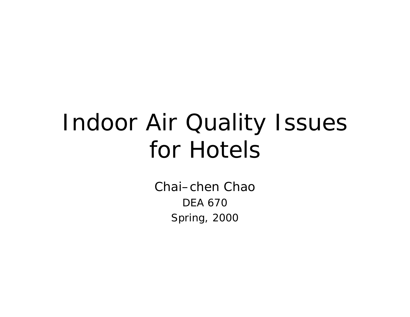## Indoor Air Quality Issues for Hotels

Chai–chen ChaoDEA 670 Spring, 2000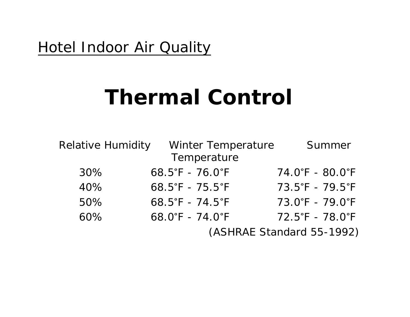## **Thermal Control**

| Relative Humidity | <b>Winter Temperature</b>       | Summer                          |
|-------------------|---------------------------------|---------------------------------|
|                   | Temperature                     |                                 |
| 30%               | $68.5^{\circ}F - 76.0^{\circ}F$ | 74.0°F - 80.0°F                 |
| 40%               | $68.5^{\circ}F - 75.5^{\circ}F$ | $73.5^{\circ}F - 79.5^{\circ}F$ |
| 50%               | $68.5^{\circ}F - 74.5^{\circ}F$ | 73.0°F - 79.0°F                 |
| 60%               | $68.0^{\circ}F - 74.0^{\circ}F$ | $72.5^{\circ}F - 78.0^{\circ}F$ |
|                   |                                 | (ASHRAE Standard 55-1992)       |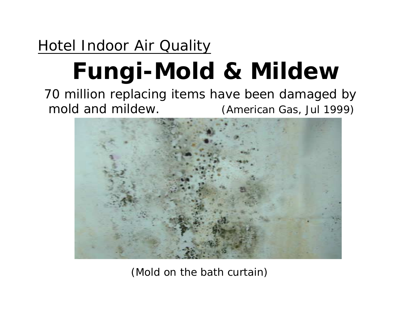# **Fungi-Mold & Mildew**

70 million replacing items have been damaged by mold and mildew. *(American Gas, Jul 1999)*



*(Mold on the bath curtain)*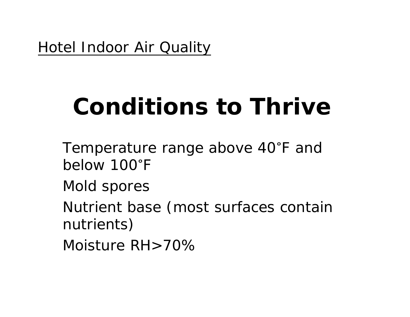# **Conditions to Thrive**

Temperature range above 40 **°**F and below 100**°**F

Mold spores

Nutrient base (most surfaces contain nutrients)

Moisture RH>70%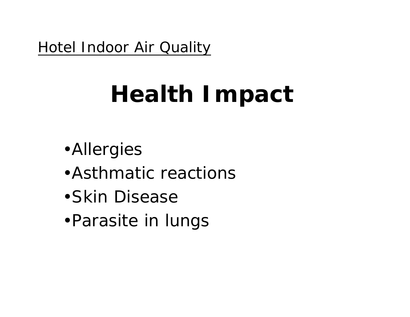# **Health Impact**

- •Allergies
- •Asthmatic reactions
- •Skin Disease
- •Parasite in lungs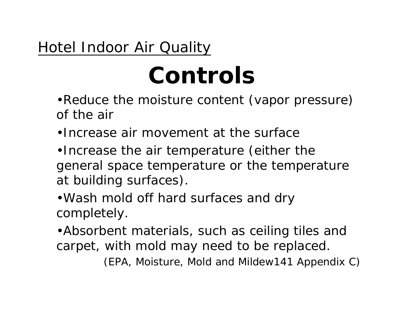# **Controls**

- •Reduce the moisture content (vapor pressure) of the air
- •Increase air movement at the surface
- •Increase the air temperature (either the general space temperature or the temperature at building surfaces).

•Wash mold off hard surfaces and dry completely.

•Absorbent materials, such as ceiling tiles and carpet, with mold may need to be replaced.

*(EPA, Moisture, Mold and Mildew141 Appendix C)*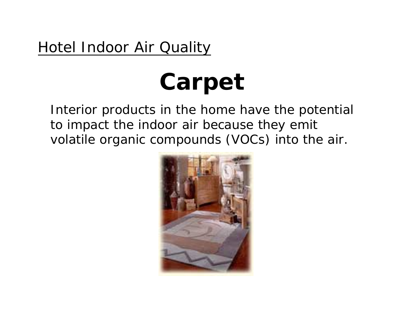# **Carpet**

Interior products in the home have the potential to impact the indoor air because they emit volatile organic compounds (VOCs) into the air.

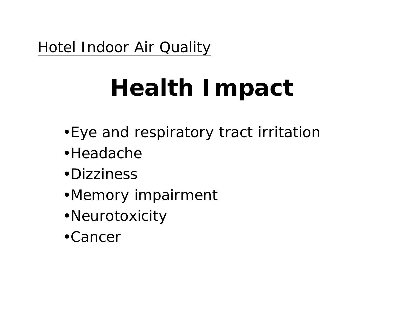# **Health Impact**

- •Eye and respiratory tract irritation
- •Headache
- •Dizziness
- •Memory impairment
- •Neurotoxicity
- •Cancer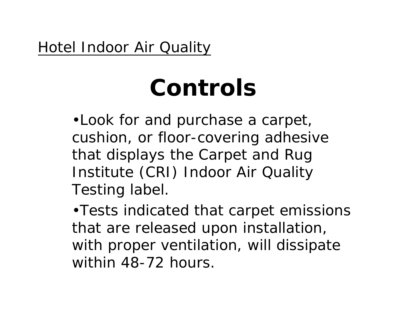# **Controls**

•Look for and purchase a carpet, cushion, or floor-covering adhesive that displays the Carpet and Rug Institute (CRI) Indoor Air Quality Testing label.

•Tests indicated that carpet emissions that are released upon installation, with proper ventilation, will dissipate within 48-72 hours.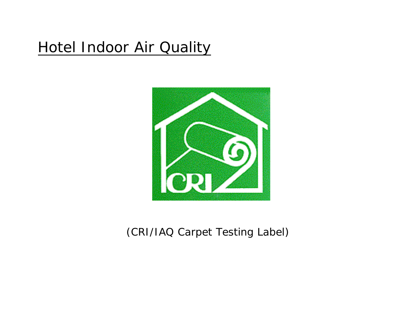

#### *(CRI/IAQ Carpet Testing Label)*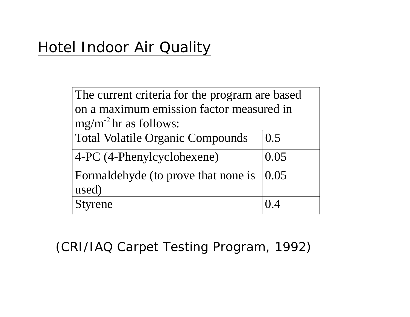| The current criteria for the program are based |                    |  |  |  |
|------------------------------------------------|--------------------|--|--|--|
| on a maximum emission factor measured in       |                    |  |  |  |
| $mg/m-2$ hr as follows:                        |                    |  |  |  |
| <b>Total Volatile Organic Compounds</b>        | 0.5                |  |  |  |
| 4-PC (4-Phenylcyclohexene)                     | 0.05               |  |  |  |
| Formaldehyde (to prove that none is            | $\vert 0.05 \vert$ |  |  |  |
| used)                                          |                    |  |  |  |
| <b>Styrene</b>                                 |                    |  |  |  |

*(CRI/IAQ Carpet Testing Program, 1992)*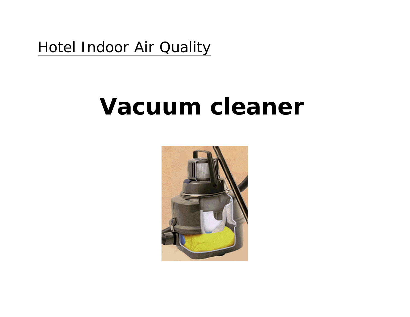## **Vacuum cleaner**

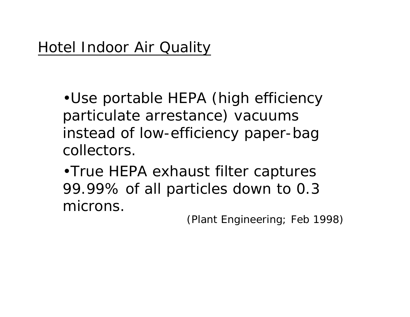•Use portable HEPA (high efficiency particulate arrestance) vacuums instead of low-efficiency paper-bag collectors.

•True HEPA exhaust filter captures 99.99% of all particles down to 0.3 microns.

*(Plant Engineering; Feb 1998)*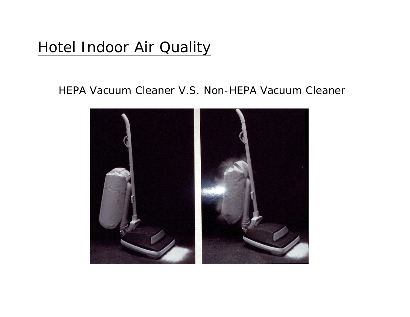#### HEPA Vacuum Cleaner V.S. Non-HEPA Vacuum Cleaner

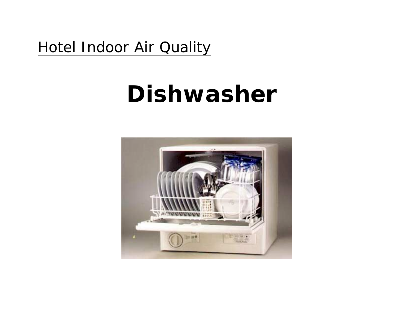## **Dishwasher**

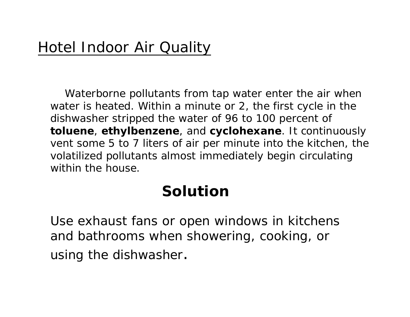Waterborne pollutants from tap water enter the air when water is heated. Within a minute or 2, the first cycle in the dishwasher stripped the water of 96 to 100 percent of **toluene**, **ethylbenzene**, and **cyclohexane**. It continuously vent some 5 to 7 liters of air per minute into the kitchen, the volatilized pollutants almost immediately begin circulating within the house.

#### **Solution**

Use exhaust fans or open windows in kitchens and bathrooms when showering, cooking, or using the dishwasher.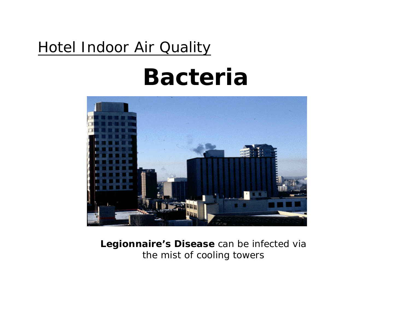### **Bacteria**



#### **Legionnaire's Disease** can be infected via the mist of cooling towers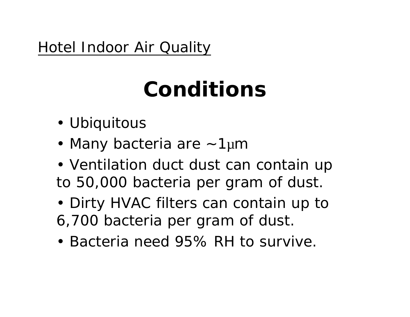## **Conditions**

- •Ubiquitous
- •Many bacteria are ~1µn
- • Ventilation duct dust can contain up to 50,000 bacteria per gram of dust.
- • Dirty HVAC filters can contain up to 6,700 bacteria per gram of dust.
- Bacteria need 95% RH to survive.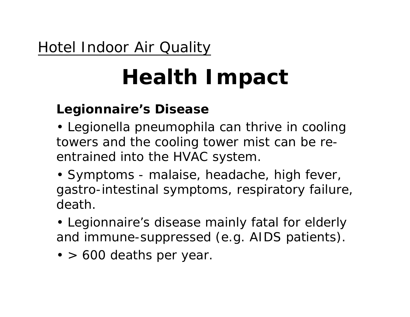## **Health Impact**

#### **Legionnaire's Disease**

• *Legionella pneumophila* can thrive in cooling towers and the cooling tower mist can be reentrained into the HVAC system.

- Symptoms malaise, headache, high fever, gastro-intestinal symptoms, respiratory failure, death.
- Legionnaire's disease mainly fatal for elderly and immune-suppressed (e.g. AIDS patients).
- > 600 deaths per year.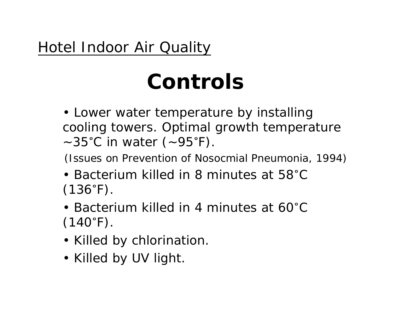## **Controls**

• Lower water temperature by installing cooling towers. Optimal growth temperature ~35 **°**C in water (~95 **°**F).

*(Issues on Prevention of Nosocmial Pneumonia, 1994)*

- Bacterium killed in 8 minutes at 58**°**C (136 **°**F).
- Bacterium killed in 4 minutes at 60**°**C (140 **°**F).
- Killed by chlorination.
- Killed by UV light.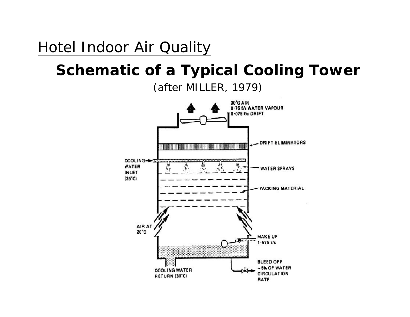#### **Schematic of a Typical Cooling Tower**

*(after MILLER, 1979)*

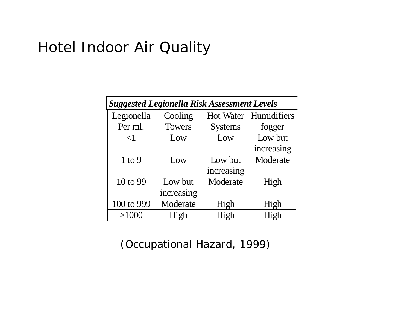| <b>Suggested Legionella Risk Assessment Levels</b> |               |                  |             |  |
|----------------------------------------------------|---------------|------------------|-------------|--|
| Legionella                                         | Cooling       | <b>Hot Water</b> | Humidifiers |  |
| Per ml.                                            | <b>Towers</b> | <b>Systems</b>   | fogger      |  |
| $\leq$ 1                                           | Low           | Low              | Low but     |  |
|                                                    |               |                  | increasing  |  |
| $1$ to 9                                           | Low           | Low but          | Moderate    |  |
|                                                    |               | increasing       |             |  |
| 10 to 99                                           | Low but       | Moderate         | High        |  |
|                                                    | increasing    |                  |             |  |
| 100 to 999                                         | Moderate      | High             | High        |  |
| >1000                                              | High          | High             | High        |  |

*(Occupational Hazard, 1999)*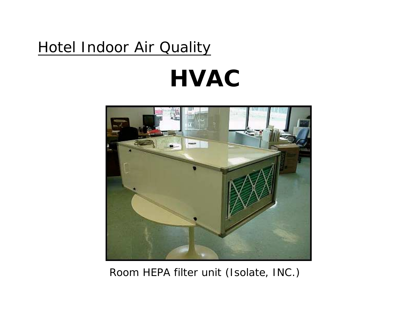# **HVAC**



#### Room HEPA filter unit *(Isolate, INC.)*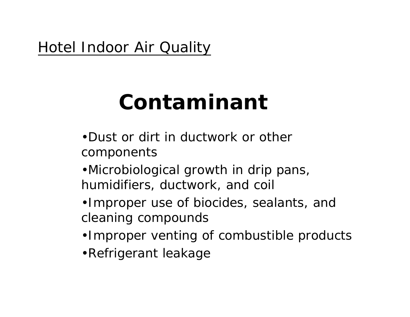## **Contaminant**

- •Dust or dirt in ductwork or other components
- •Microbiological growth in drip pans, humidifiers, ductwork, and coil
- •Improper use of biocides, sealants, and cleaning compounds
- •Improper venting of combustible products
- •Refrigerant leakage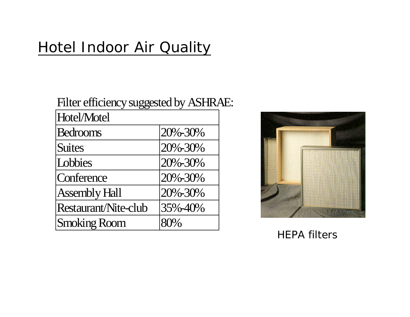#### Filter efficiency suggested by ASHRAE:

| Hotel/Motel                 |         |
|-----------------------------|---------|
| Bedrooms                    | 20%-30% |
| <b>Suites</b>               | 20%-30% |
| Lobbies                     | 20%-30% |
| Conference                  | 20%-30% |
| <b>Assembly Hall</b>        | 20%-30% |
| <b>Restaurant/Nite-club</b> | 35%-40% |
| <b>Smoking Room</b>         | 80%     |



HEPA filters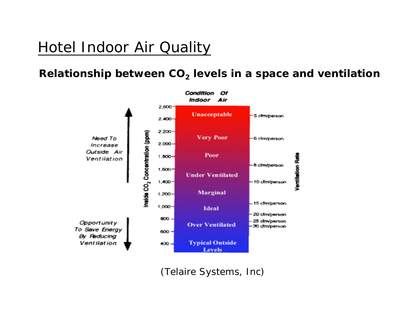**Relationship between CO2 levels in a space and ventilation**



*(Telaire Systems, Inc)*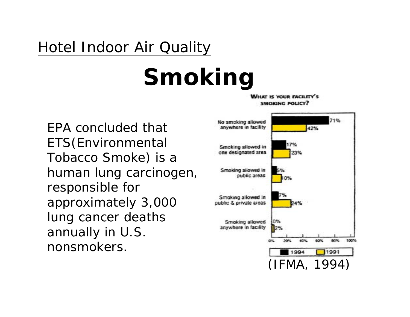# **Smoking**

EPA concluded that ETS(Environmental Tobacco Smoke) is a human lung carcinogen, responsible for approximately 3,000 lung cancer deaths annually in U.S. nonsmokers.

#### WHAT IS YOUR FACILITY'S SMOKING POLICY?